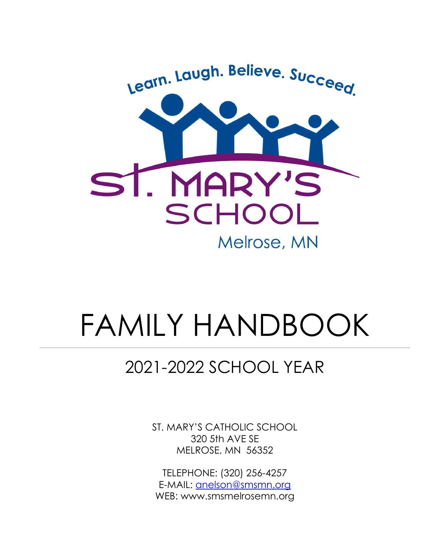

# FAMILY HANDBOOK

# 2021-2022 SCHOOL YEAR

ST. MARY'S CATHOLIC SCHOOL 320 5th AVE SE MELROSE, MN 56352

TELEPHONE: (320) 256-4257 E-MAIL: [anelson@smsmn.org](mailto:anelson@smsmn.org) WEB: www.smsmelrosemn.org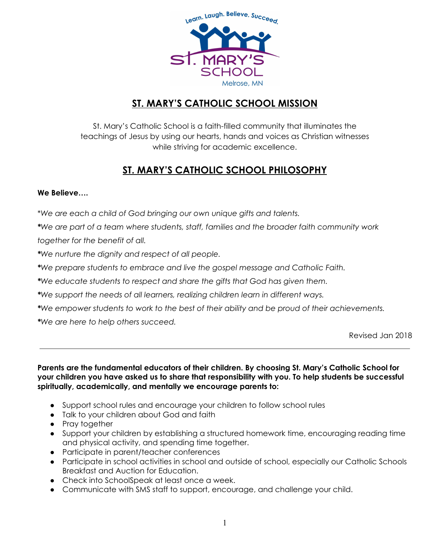

# **ST. MARY'S CATHOLIC SCHOOL MISSION**

St. Mary's Catholic School is a faith-filled community that illuminates the teachings of Jesus by using our hearts, hands and voices as Christian witnesses while striving for academic excellence.

# **ST. MARY'S CATHOLIC SCHOOL PHILOSOPHY**

#### **We Believe….**

\**We are each a child of God bringing our own unique gifts and talents.*

*\*We are part of a team where students, staff, families and the broader faith community work together for the benefit of all.*

*\*We nurture the dignity and respect of all people.*

*\*We prepare students to embrace and live the gospel message and Catholic Faith.*

*\*We educate students to respect and share the gifts that God has given them.*

*\*We support the needs of all learners, realizing children learn in different ways.*

*\*We empower students to work to the best of their ability and be proud of their achievements.*

*\*We are here to help others succeed.*

Revised Jan 2018

**Parents are the fundamental educators of their children. By choosing St. Mary's Catholic School for your children you have asked us to share that responsibility with you. To help students be successful spiritually, academically, and mentally we encourage parents to:**

- Support school rules and encourage your children to follow school rules
- Talk to your children about God and faith
- Pray together
- Support your children by establishing a structured homework time, encouraging reading time and physical activity, and spending time together.
- Participate in parent/teacher conferences
- Participate in school activities in school and outside of school, especially our Catholic Schools Breakfast and Auction for Education.
- Check into SchoolSpeak at least once a week.
- Communicate with SMS staff to support, encourage, and challenge your child.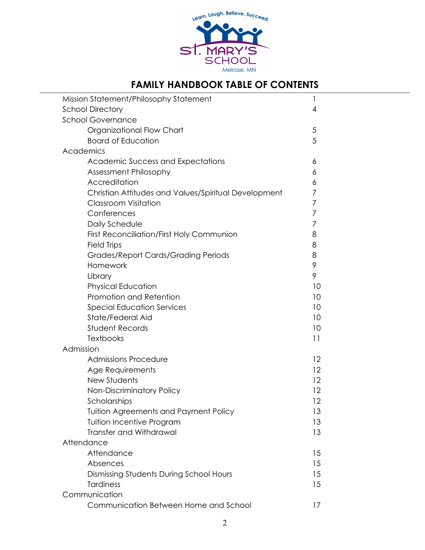

# **FAMILY HANDBOOK TABLE OF CONTENTS**

| Mission Statement/Philosophy Statement<br>1          |                |  |  |  |  |
|------------------------------------------------------|----------------|--|--|--|--|
| <b>School Directory</b>                              | $\overline{4}$ |  |  |  |  |
| <b>School Governance</b>                             |                |  |  |  |  |
| Organizational Flow Chart                            | $\sqrt{5}$     |  |  |  |  |
| <b>Board of Education</b>                            | 5              |  |  |  |  |
| Academics                                            |                |  |  |  |  |
| <b>Academic Success and Expectations</b>             | 6              |  |  |  |  |
| Assessment Philosophy                                | 6              |  |  |  |  |
| Accreditation                                        | 6              |  |  |  |  |
| Christian Attitudes and Values/Spiritual Development | 7              |  |  |  |  |
| <b>Classroom Visitation</b>                          | 7              |  |  |  |  |
| Conferences                                          | 7              |  |  |  |  |
| Daily Schedule                                       | 7              |  |  |  |  |
| <b>First Reconciliation/First Holy Communion</b>     | 8              |  |  |  |  |
| <b>Field Trips</b>                                   | 8              |  |  |  |  |
| <b>Grades/Report Cards/Grading Periods</b>           | 8              |  |  |  |  |
| Homework                                             | 9              |  |  |  |  |
| Library                                              | 9              |  |  |  |  |
| <b>Physical Education</b>                            | 10             |  |  |  |  |
| Promotion and Retention                              | 10             |  |  |  |  |
| <b>Special Education Services</b>                    | 10             |  |  |  |  |
| State/Federal Aid                                    | 10             |  |  |  |  |
| <b>Student Records</b>                               | 10             |  |  |  |  |
| <b>Textbooks</b>                                     | 11             |  |  |  |  |
| Admission                                            |                |  |  |  |  |
| <b>Admissions Procedure</b>                          | 12             |  |  |  |  |
| Age Requirements                                     | 12             |  |  |  |  |
| New Students                                         | 12             |  |  |  |  |
| Non-Discriminatory Policy                            | 12             |  |  |  |  |
| Scholarships                                         | 12             |  |  |  |  |
| <b>Tuition Agreements and Payment Policy</b>         | 13             |  |  |  |  |
| <b>Tuition Incentive Program</b>                     | 13             |  |  |  |  |
| <b>Transfer and Withdrawal</b>                       | 13             |  |  |  |  |
| Attendance                                           |                |  |  |  |  |
| Attendance                                           | 15             |  |  |  |  |
| Absences                                             | 15             |  |  |  |  |
| Dismissing Students During School Hours              | 15             |  |  |  |  |
| <b>Tardiness</b>                                     | 15             |  |  |  |  |
| Communication                                        |                |  |  |  |  |
| Communication Between Home and School                | 17             |  |  |  |  |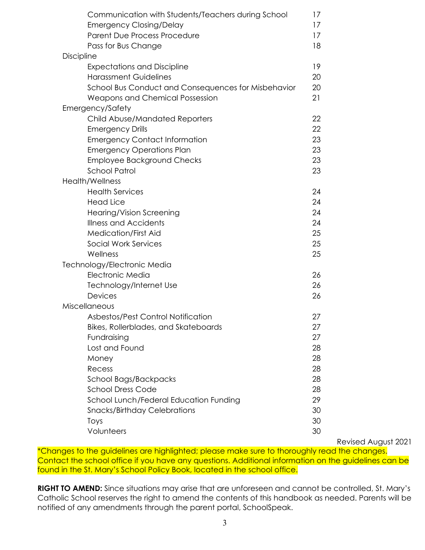| Communication with Students/Teachers during School  | 17 |
|-----------------------------------------------------|----|
| <b>Emergency Closing/Delay</b>                      | 17 |
| Parent Due Process Procedure                        | 17 |
| Pass for Bus Change                                 | 18 |
| <b>Discipline</b>                                   |    |
| <b>Expectations and Discipline</b>                  | 19 |
| <b>Harassment Guidelines</b>                        | 20 |
| School Bus Conduct and Consequences for Misbehavior | 20 |
| <b>Weapons and Chemical Possession</b>              | 21 |
| Emergency/Safety                                    |    |
| <b>Child Abuse/Mandated Reporters</b>               | 22 |
| <b>Emergency Drills</b>                             | 22 |
| <b>Emergency Contact Information</b>                | 23 |
| <b>Emergency Operations Plan</b>                    | 23 |
| <b>Employee Background Checks</b>                   | 23 |
| <b>School Patrol</b>                                | 23 |
| Health/Wellness                                     |    |
| <b>Health Services</b>                              | 24 |
| <b>Head Lice</b>                                    | 24 |
| Hearing/Vision Screening                            | 24 |
| <b>Illness and Accidents</b>                        | 24 |
| <b>Medication/First Aid</b>                         | 25 |
| <b>Social Work Services</b>                         | 25 |
| Wellness                                            | 25 |
| Technology/Electronic Media                         |    |
| Electronic Media                                    | 26 |
| Technology/Internet Use                             | 26 |
| Devices                                             | 26 |
| Miscellaneous                                       |    |
| Asbestos/Pest Control Notification                  | 27 |
| Bikes, Rollerblades, and Skateboards                | 27 |
| Fundraising                                         | 27 |
| Lost and Found                                      | 28 |
| Money                                               | 28 |
| Recess                                              | 28 |
| School Bags/Backpacks                               | 28 |
| <b>School Dress Code</b>                            | 28 |
| School Lunch/Federal Education Funding              | 29 |
| <b>Snacks/Birthday Celebrations</b>                 | 30 |
| Toys                                                | 30 |
| Volunteers                                          | 30 |

Revised August 2021

\*Changes to the guidelines are highlighted; please make sure to thoroughly read the changes. Contact the school office if you have any questions. Additional information on the guidelines can be found in the St. Mary's School Policy Book, located in the school office.

**RIGHT TO AMEND:** Since situations may arise that are unforeseen and cannot be controlled, St. Mary's Catholic School reserves the right to amend the contents of this handbook as needed. Parents will be notified of any amendments through the parent portal, SchoolSpeak.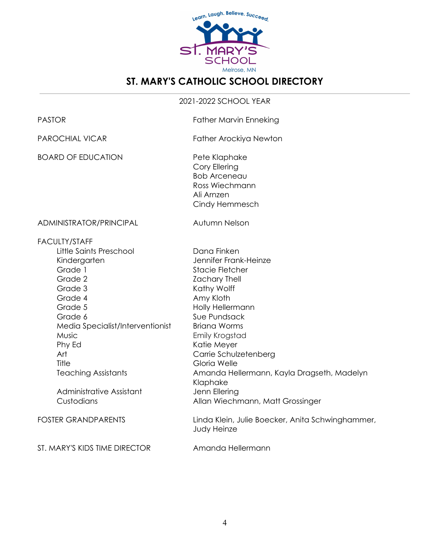

# **ST. MARY'S CATHOLIC SCHOOL DIRECTORY**

#### 2021-2022 SCHOOL YEAR

| <b>PASTOR</b>                                                                                                                                                                                                                                                                    | <b>Father Marvin Enneking</b>                                                                                                                                                                                                                                                                                                                                   |
|----------------------------------------------------------------------------------------------------------------------------------------------------------------------------------------------------------------------------------------------------------------------------------|-----------------------------------------------------------------------------------------------------------------------------------------------------------------------------------------------------------------------------------------------------------------------------------------------------------------------------------------------------------------|
| <b>PAROCHIAL VICAR</b>                                                                                                                                                                                                                                                           | Father Arockiya Newton                                                                                                                                                                                                                                                                                                                                          |
| <b>BOARD OF EDUCATION</b>                                                                                                                                                                                                                                                        | Pete Klaphake<br>Cory Ellering<br><b>Bob Arceneau</b><br>Ross Wiechmann<br>Ali Arnzen<br>Cindy Hemmesch                                                                                                                                                                                                                                                         |
| ADMINISTRATOR/PRINCIPAL                                                                                                                                                                                                                                                          | Autumn Nelson                                                                                                                                                                                                                                                                                                                                                   |
| <b>FACULTY/STAFF</b><br>Little Saints Preschool<br>Kindergarten<br>Grade 1<br>Grade 2<br>Grade 3<br>Grade 4<br>Grade 5<br>Grade 6<br>Media Specialist/Interventionist<br>Music<br>Phy Ed<br>Art<br>Title<br><b>Teaching Assistants</b><br>Administrative Assistant<br>Custodians | Dana Finken<br>Jennifer Frank-Heinze<br>Stacie Fletcher<br><b>Zachary Thell</b><br>Kathy Wolff<br>Amy Kloth<br>Holly Hellermann<br>Sue Pundsack<br><b>Briana Worms</b><br>Emily Krogstad<br>Katie Meyer<br>Carrie Schulzetenberg<br>Gloria Welle<br>Amanda Hellermann, Kayla Dragseth, Madelyn<br>Klaphake<br>Jenn Ellering<br>Allan Wiechmann, Matt Grossinger |
| <b>FOSTER GRANDPARENTS</b>                                                                                                                                                                                                                                                       | Linda Klein, Julie Boecker, Anita Schwinghammer,<br>Judy Heinze                                                                                                                                                                                                                                                                                                 |
| ST. MARY'S KIDS TIME DIRECTOR                                                                                                                                                                                                                                                    | Amanda Hellermann                                                                                                                                                                                                                                                                                                                                               |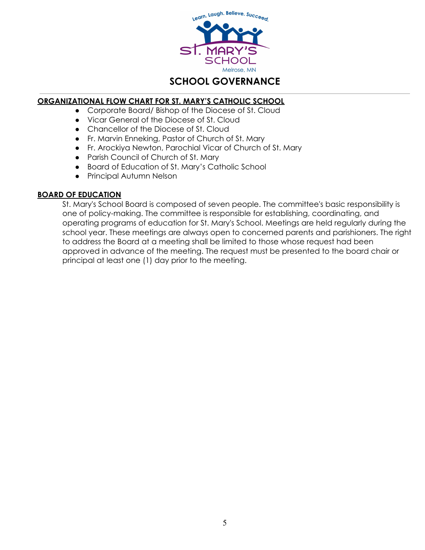

# **SCHOOL GOVERNANCE**

#### **ORGANIZATIONAL FLOW CHART FOR ST. MARY'S CATHOLIC SCHOOL**

- Corporate Board/ Bishop of the Diocese of St. Cloud
	- Vicar General of the Diocese of St. Cloud
	- Chancellor of the Diocese of St. Cloud
	- Fr. Marvin Enneking, Pastor of Church of St. Mary
	- Fr. Arockiya Newton, Parochial Vicar of Church of St. Mary
	- Parish Council of Church of St. Mary
	- Board of Education of St. Mary's Catholic School
	- Principal Autumn Nelson

#### **BOARD OF EDUCATION**

St. Mary's School Board is composed of seven people. The committee's basic responsibility is one of policy-making. The committee is responsible for establishing, coordinating, and operating programs of education for St. Mary's School. Meetings are held regularly during the school year. These meetings are always open to concerned parents and parishioners. The right to address the Board at a meeting shall be limited to those whose request had been approved in advance of the meeting. The request must be presented to the board chair or principal at least one (1) day prior to the meeting.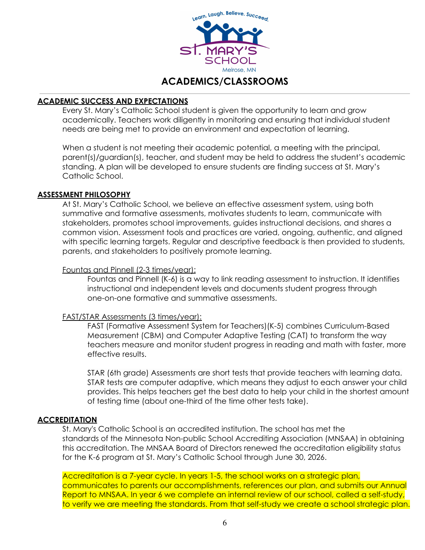

# **ACADEMICS/CLASSROOMS**

#### **ACADEMIC SUCCESS AND EXPECTATIONS**

Every St. Mary's Catholic School student is given the opportunity to learn and grow academically. Teachers work diligently in monitoring and ensuring that individual student needs are being met to provide an environment and expectation of learning.

When a student is not meeting their academic potential, a meeting with the principal, parent(s)/guardian(s), teacher, and student may be held to address the student's academic standing. A plan will be developed to ensure students are finding success at St. Mary's Catholic School.

#### **ASSESSMENT PHILOSOPHY**

At St. Mary's Catholic School, we believe an effective assessment system, using both summative and formative assessments, motivates students to learn, communicate with stakeholders, promotes school improvements, guides instructional decisions, and shares a common vision. Assessment tools and practices are varied, ongoing, authentic, and aligned with specific learning targets. Regular and descriptive feedback is then provided to students, parents, and stakeholders to positively promote learning.

#### Fountas and Pinnell (2-3 times/year):

Fountas and Pinnell (K-6) is a way to link reading assessment to instruction. It identifies instructional and independent levels and documents student progress through one-on-one formative and summative assessments.

#### FAST/STAR Assessments (3 times/year):

FAST (Formative Assessment System for Teachers)(K-5) combines Curriculum-Based Measurement (CBM) and Computer Adaptive Testing (CAT) to transform the way teachers measure and monitor student progress in reading and math with faster, more effective results.

STAR (6th grade) Assessments are short tests that provide teachers with learning data. STAR tests are computer adaptive, which means they adjust to each answer your child provides. This helps teachers get the best data to help your child in the shortest amount of testing time (about one-third of the time other tests take).

#### **ACCREDITATION**

St. Mary's Catholic School is an accredited institution. The school has met the standards of the Minnesota Non-public School Accrediting Association (MNSAA) in obtaining this accreditation. The MNSAA Board of Directors renewed the accreditation eligibility status for the K-6 program at St. Mary's Catholic School through June 30, 2026.

Accreditation is a 7-year cycle. In years 1-5, the school works on a strategic plan, communicates to parents our accomplishments, references our plan, and submits our Annual Report to MNSAA. In year 6 we complete an internal review of our school, called a self-study, to verify we are meeting the standards. From that self-study we create a school strategic plan.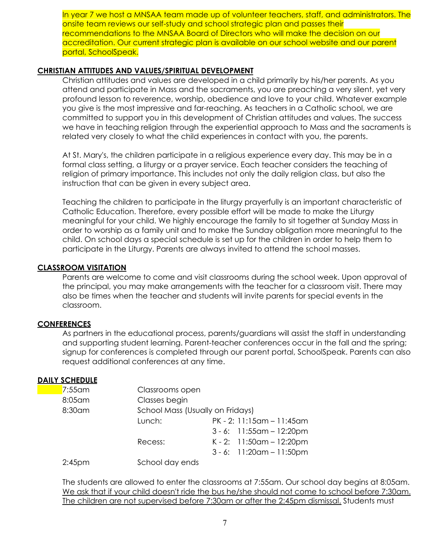In year 7 we host a MNSAA team made up of volunteer teachers, staff, and administrators. The onsite team reviews our self-study and school strategic plan and passes their recommendations to the MNSAA Board of Directors who will make the decision on our accreditation. Our current strategic plan is available on our school website and our parent portal, SchoolSpeak.

#### **CHRISTIAN ATTITUDES AND VALUES/SPIRITUAL DEVELOPMENT**

Christian attitudes and values are developed in a child primarily by his/her parents. As you attend and participate in Mass and the sacraments, you are preaching a very silent, yet very profound lesson to reverence, worship, obedience and love to your child. Whatever example you give is the most impressive and far-reaching. As teachers in a Catholic school, we are committed to support you in this development of Christian attitudes and values. The success we have in teaching religion through the experiential approach to Mass and the sacraments is related very closely to what the child experiences in contact with you, the parents.

At St. Mary's, the children participate in a religious experience every day. This may be in a formal class setting, a liturgy or a prayer service. Each teacher considers the teaching of religion of primary importance. This includes not only the daily religion class, but also the instruction that can be given in every subject area.

Teaching the children to participate in the liturgy prayerfully is an important characteristic of Catholic Education. Therefore, every possible effort will be made to make the Liturgy meaningful for your child. We highly encourage the family to sit together at Sunday Mass in order to worship as a family unit and to make the Sunday obligation more meaningful to the child. On school days a special schedule is set up for the children in order to help them to participate in the Liturgy. Parents are always invited to attend the school masses.

#### **CLASSROOM VISITATION**

Parents are welcome to come and visit classrooms during the school week. Upon approval of the principal, you may make arrangements with the teacher for a classroom visit. There may also be times when the teacher and students will invite parents for special events in the classroom.

#### **CONFERENCES**

As partners in the educational process, parents/guardians will assist the staff in understanding and supporting student learning. Parent-teacher conferences occur in the fall and the spring; signup for conferences is completed through our parent portal, SchoolSpeak. Parents can also request additional conferences at any time.

#### **DAILY SCHEDULE**

| $7:55$ am | Classrooms open                  |                                  |
|-----------|----------------------------------|----------------------------------|
| 8:05 am   | Classes begin                    |                                  |
| 8:30am    | School Mass (Usually on Fridays) |                                  |
|           | Lunch:                           | $PK - 2: 11:15$ am - 11:45am     |
|           |                                  | $3 - 6$ : 11:55 cm $- 12$ :20 pm |
|           | Recess:                          | K-2: 11:50am - 12:20pm           |
|           |                                  | $3 - 6$ : 11:20 am $- 11$ :50 pm |
| $2:45$ pm | School day ends                  |                                  |

The students are allowed to enter the classrooms at 7:55am. Our school day begins at 8:05am. We ask that if your child doesn't ride the bus he/she should not come to school before 7:30am. The children are not supervised before 7:30am or after the 2:45pm dismissal. Students must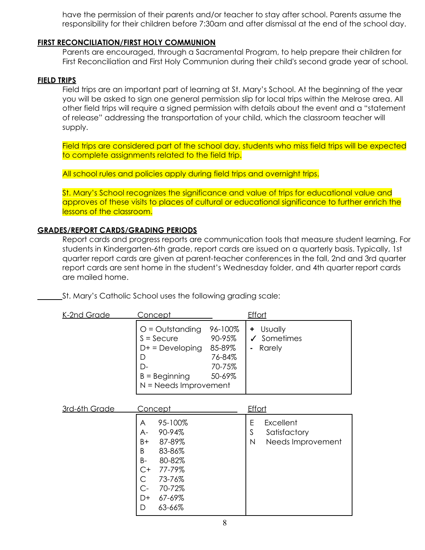have the permission of their parents and/or teacher to stay after school. Parents assume the responsibility for their children before 7:30am and after dismissal at the end of the school day.

#### **FIRST RECONCILIATION/FIRST HOLY COMMUNION**

Parents are encouraged, through a Sacramental Program, to help prepare their children for First Reconciliation and First Holy Communion during their child's second grade year of school.

#### **FIELD TRIPS**

Field trips are an important part of learning at St. Mary's School. At the beginning of the year you will be asked to sign one general permission slip for local trips within the Melrose area. All other field trips will require a signed permission with details about the event and a "statement of release" addressing the transportation of your child, which the classroom teacher will supply.

Field trips are considered part of the school day, students who miss field trips will be expected to complete assignments related to the field trip.

All school rules and policies apply during field trips and overnight trips.

St. Mary's School recognizes the significance and value of trips for educational value and approves of these visits to places of cultural or educational significance to further enrich the lessons of the classroom.

#### **GRADES/REPORT CARDS/GRADING PERIODS**

Report cards and progress reports are communication tools that measure student learning. For students in Kindergarten-6th grade, report cards are issued on a quarterly basis. Typically, 1st quarter report cards are given at parent-teacher conferences in the fall, 2nd and 3rd quarter report cards are sent home in the student's Wednesday folder, and 4th quarter report cards are mailed home.

St. Mary's Catholic School uses the following grading scale:

| K-2nd Grade | <u>Concept</u>                                                                                                        |                                                           | <b>Effort</b>                                      |  |
|-------------|-----------------------------------------------------------------------------------------------------------------------|-----------------------------------------------------------|----------------------------------------------------|--|
|             | $O =$ Outstanding<br>$S =$ Secure<br>$D+$ = Developing<br>D<br>$\Gamma$<br>$B =$ Beginning<br>$N = Needs$ Improvement | 96-100%<br>90-95%<br>85-89%<br>76-84%<br>70-75%<br>50-69% | + Usually<br>$\checkmark$ Sometimes<br>Rarely<br>٠ |  |

| 3rd-6th Grade | <u>Concept</u>                                                                                                                                           | <b>Effort</b>                                                 |
|---------------|----------------------------------------------------------------------------------------------------------------------------------------------------------|---------------------------------------------------------------|
|               | 95-100%<br>A<br>90-94%<br>A-<br>87-89%<br>B+<br>83-86%<br>B<br>80-82%<br>B-<br>77-79%<br>$C+$<br>73-76%<br>70-72%<br>C-<br>67-69%<br>$D+$<br>63-66%<br>D | Excellent<br>E<br>S<br>Satisfactory<br>Needs Improvement<br>Ν |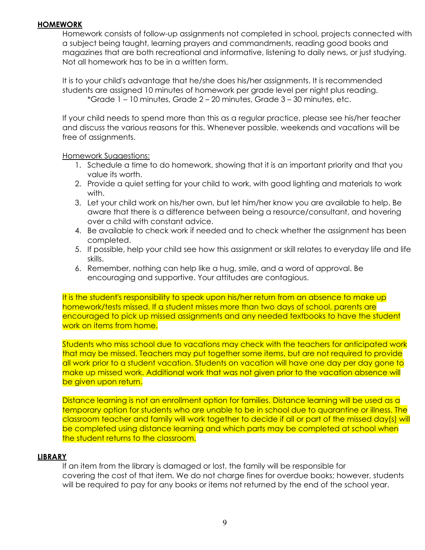#### **HOMEWORK**

Homework consists of follow-up assignments not completed in school, projects connected with a subject being taught, learning prayers and commandments, reading good books and magazines that are both recreational and informative, listening to daily news, or just studying. Not all homework has to be in a written form.

It is to your child's advantage that he/she does his/her assignments. It is recommended students are assigned 10 minutes of homework per grade level per night plus reading. \*Grade 1 – 10 minutes, Grade 2 – 20 minutes, Grade 3 – 30 minutes, etc.

If your child needs to spend more than this as a regular practice, please see his/her teacher and discuss the various reasons for this. Whenever possible, weekends and vacations will be free of assignments.

#### Homework Suggestions:

- 1. Schedule a time to do homework, showing that it is an important priority and that you value its worth.
- 2. Provide a quiet setting for your child to work, with good lighting and materials to work with.
- 3. Let your child work on his/her own, but let him/her know you are available to help. Be aware that there is a difference between being a resource/consultant, and hovering over a child with constant advice.
- 4. Be available to check work if needed and to check whether the assignment has been completed.
- 5. If possible, help your child see how this assignment or skill relates to everyday life and life skills.
- 6. Remember, nothing can help like a hug, smile, and a word of approval. Be encouraging and supportive. Your attitudes are contagious.

It is the student's responsibility to speak upon his/her return from an absence to make up homework/tests missed. If a student misses more than two days of school, parents are encouraged to pick up missed assignments and any needed textbooks to have the student work on items from home.

Students who miss school due to vacations may check with the teachers for anticipated work that may be missed. Teachers may put together some items, but are not required to provide all work prior to a student vacation. Students on vacation will have one day per day gone to make up missed work. Additional work that was not given prior to the vacation absence will be given upon return.

Distance learning is not an enrollment option for families. Distance learning will be used as a temporary option for students who are unable to be in school due to quarantine or illness. The classroom teacher and family will work together to decide if all or part of the missed day(s) will be completed using distance learning and which parts may be completed at school when the student returns to the classroom.

#### **LIBRARY**

If an item from the library is damaged or lost, the family will be responsible for covering the cost of that item. We do not charge fines for overdue books; however, students will be required to pay for any books or items not returned by the end of the school year.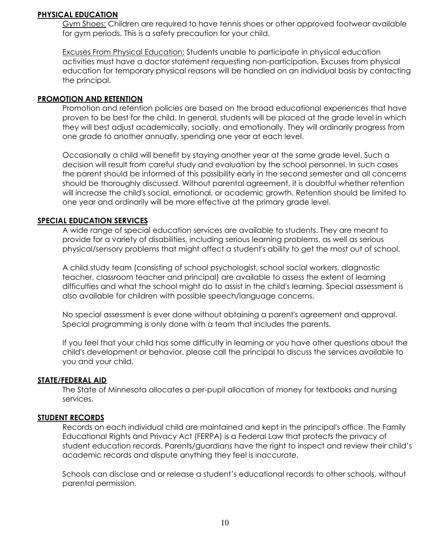#### **PHYSICAL EDUCATION**

Gym Shoes: Children are required to have tennis shoes or other approved footwear available for gym periods. This is a safety precaution for your child.

Excuses From Physical Education: Students unable to participate in physical education activities must have a doctor statement requesting non-participation. Excuses from physical education for temporary physical reasons will be handled on an individual basis by contacting the principal.

#### **PROMOTION AND RETENTION**

Promotion and retention policies are based on the broad educational experiences that have proven to be best for the child. In general, students will be placed at the grade level in which they will best adjust academically, socially, and emotionally. They will ordinarily progress from one grade to another annually, spending one year at each level.

Occasionally a child will benefit by staying another year at the same grade level. Such a decision will result from careful study and evaluation by the school personnel. In such cases the parent should be informed of this possibility early in the second semester and all concerns should be thoroughly discussed. Without parental agreement, it is doubtful whether retention will increase the child's social, emotional, or academic growth. Retention should be limited to one year and ordinarily will be more effective at the primary grade level.

#### **SPECIAL EDUCATION SERVICES**

A wide range of special education services are available to students. They are meant to provide for a variety of disabilities, including serious learning problems, as well as serious physical/sensory problems that might affect a student's ability to get the most out of school.

A child study team (consisting of school psychologist, school social workers, diagnostic teacher, classroom teacher and principal) are available to assess the extent of learning difficulties and what the school might do to assist in the child's learning. Special assessment is also available for children with possible speech/language concerns.

No special assessment is ever done without obtaining a parent's agreement and approval. Special programming is only done with a team that includes the parents.

If you feel that your child has some difficulty in learning or you have other questions about the child's development or behavior, please call the principal to discuss the services available to you and your child.

#### **STATE/FEDERAL AID**

The State of Minnesota allocates a per-pupil allocation of money for textbooks and nursing services.

#### **STUDENT RECORDS**

Records on each individual child are maintained and kept in the principal's office. The Family Educational Rights and Privacy Act (FERPA) is a Federal Law that protects the privacy of student education records. Parents/guardians have the right to inspect and review their child's academic records and dispute anything they feel is inaccurate.

Schools can disclose and or release a student's educational records to other schools, without parental permission.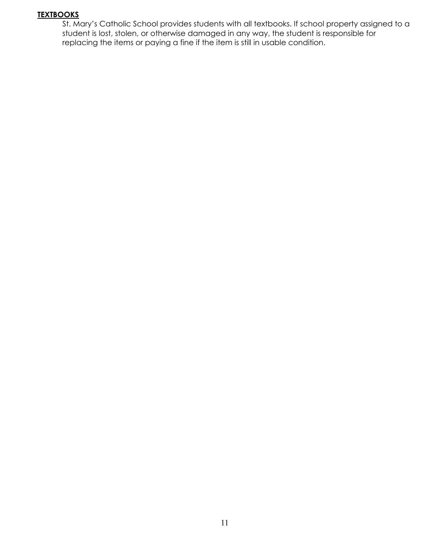#### **TEXTBOOKS**

St. Mary's Catholic School provides students with all textbooks. If school property assigned to a student is lost, stolen, or otherwise damaged in any way, the student is responsible for replacing the items or paying a fine if the item is still in usable condition.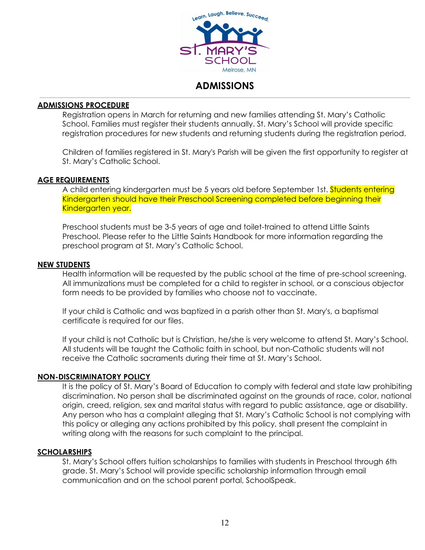

# **ADMISSIONS**

#### **ADMISSIONS PROCEDURE**

Registration opens in March for returning and new families attending St. Mary's Catholic School. Families must register their students annually. St. Mary's School will provide specific registration procedures for new students and returning students during the registration period.

Children of families registered in St. Mary's Parish will be given the first opportunity to register at St. Mary's Catholic School.

#### **AGE REQUIREMENTS**

A child entering kindergarten must be 5 years old before September 1st. Students entering Kindergarten should have their Preschool Screening completed before beginning their Kindergarten year.

Preschool students must be 3-5 years of age and toilet-trained to attend Little Saints Preschool. Please refer to the Little Saints Handbook for more information regarding the preschool program at St. Mary's Catholic School.

#### **NEW STUDENTS**

Health information will be requested by the public school at the time of pre-school screening. All immunizations must be completed for a child to register in school, or a conscious objector form needs to be provided by families who choose not to vaccinate.

If your child is Catholic and was baptized in a parish other than St. Mary's, a baptismal certificate is required for our files.

If your child is not Catholic but is Christian, he/she is very welcome to attend St. Mary's School. All students will be taught the Catholic faith in school, but non-Catholic students will not receive the Catholic sacraments during their time at St. Mary's School.

#### **NON-DISCRIMINATORY POLICY**

It is the policy of St. Mary's Board of Education to comply with federal and state law prohibiting discrimination. No person shall be discriminated against on the grounds of race, color, national origin, creed, religion, sex and marital status with regard to public assistance, age or disability. Any person who has a complaint alleging that St. Mary's Catholic School is not complying with this policy or alleging any actions prohibited by this policy, shall present the complaint in writing along with the reasons for such complaint to the principal.

#### **SCHOLARSHIPS**

St. Mary's School offers tuition scholarships to families with students in Preschool through 6th grade. St. Mary's School will provide specific scholarship information through email communication and on the school parent portal, SchoolSpeak.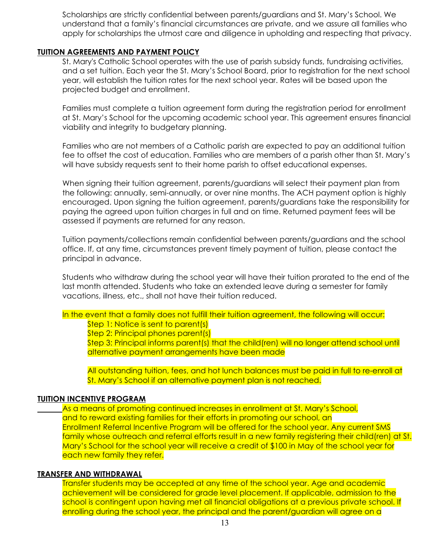Scholarships are strictly confidential between parents/guardians and St. Mary's School. We understand that a family's financial circumstances are private, and we assure all families who apply for scholarships the utmost care and diligence in upholding and respecting that privacy.

#### **TUITION AGREEMENTS AND PAYMENT POLICY**

St. Mary's Catholic School operates with the use of parish subsidy funds, fundraising activities, and a set tuition. Each year the St. Mary's School Board, prior to registration for the next school year, will establish the tuition rates for the next school year. Rates will be based upon the projected budget and enrollment.

Families must complete a tuition agreement form during the registration period for enrollment at St. Mary's School for the upcoming academic school year. This agreement ensures financial viability and integrity to budgetary planning.

Families who are not members of a Catholic parish are expected to pay an additional tuition fee to offset the cost of education. Families who are members of a parish other than St. Mary's will have subsidy requests sent to their home parish to offset educational expenses.

When signing their tuition agreement, parents/guardians will select their payment plan from the following: annually, semi-annually, or over nine months. The ACH payment option is highly encouraged. Upon signing the tuition agreement, parents/guardians take the responsibility for paying the agreed upon tuition charges in full and on time. Returned payment fees will be assessed if payments are returned for any reason.

Tuition payments/collections remain confidential between parents/guardians and the school office. If, at any time, circumstances prevent timely payment of tuition, please contact the principal in advance.

Students who withdraw during the school year will have their tuition prorated to the end of the last month attended. Students who take an extended leave during a semester for family vacations, illness, etc., shall not have their tuition reduced.

#### In the event that a family does not fulfill their tuition agreement, the following will occur: Step 1: Notice is sent to parent(s)

Step 2: Principal phones parent(s)

Step 3: Principal informs parent(s) that the child(ren) will no longer attend school until alternative payment arrangements have been made

All outstanding tuition, fees, and hot lunch balances must be paid in full to re-enroll at St. Mary's School if an alternative payment plan is not reached.

#### **TUITION INCENTIVE PROGRAM**

As a means of promoting continued increases in enrollment at St. Mary's School, and to reward existing families for their efforts in promoting our school, an Enrollment Referral Incentive Program will be offered for the school year. Any current SMS family whose outreach and referral efforts result in a new family registering their child(ren) at St. Mary's School for the school year will receive a credit of \$100 in May of the school year for each new family they refer.

#### **TRANSFER AND WITHDRAWAL**

Transfer students may be accepted at any time of the school year. Age and academic achievement will be considered for grade level placement. If applicable, admission to the school is contingent upon having met all financial obligations at a previous private school. If enrolling during the school year, the principal and the parent/guardian will agree on a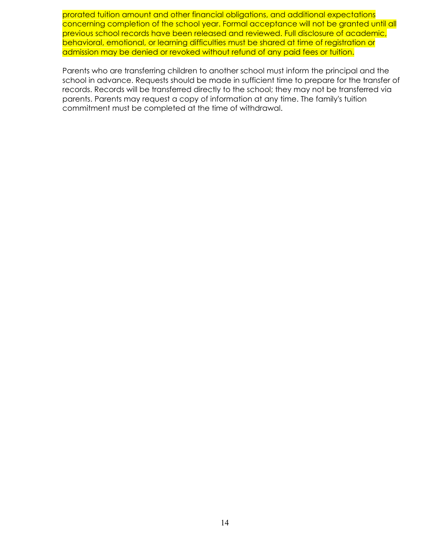prorated tuition amount and other financial obligations, and additional expectations concerning completion of the school year. Formal acceptance will not be granted until all previous school records have been released and reviewed. Full disclosure of academic, behavioral, emotional, or learning difficulties must be shared at time of registration or admission may be denied or revoked without refund of any paid fees or tuition.

Parents who are transferring children to another school must inform the principal and the school in advance. Requests should be made in sufficient time to prepare for the transfer of records. Records will be transferred directly to the school; they may not be transferred via parents. Parents may request a copy of information at any time. The family's tuition commitment must be completed at the time of withdrawal.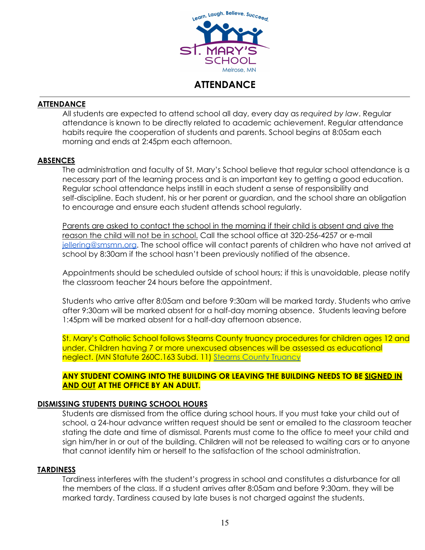

# **ATTENDANCE**

#### **ATTENDANCE**

All students are expected to attend school all day, every day as *required by law*. Regular attendance is known to be directly related to academic achievement. Regular attendance habits require the cooperation of students and parents. School begins at 8:05am each morning and ends at 2:45pm each afternoon.

#### **ABSENCES**

The administration and faculty of St. Mary's School believe that regular school attendance is a necessary part of the learning process and is an important key to getting a good education. Regular school attendance helps instill in each student a sense of responsibility and self-discipline. Each student, his or her parent or guardian, and the school share an obligation to encourage and ensure each student attends school regularly.

Parents are asked to contact the school in the morning if their child is absent and give the reason the child will not be in school. Call the school office at 320-256-4257 or e-mail [jellering@smsmn.org.](mailto:jellering@smsmn.org) The school office will contact parents of children who have not arrived at school by 8:30am if the school hasn't been previously notified of the absence.

Appointments should be scheduled outside of school hours; if this is unavoidable, please notify the classroom teacher 24 hours before the appointment.

Students who arrive after 8:05am and before 9:30am will be marked tardy. Students who arrive after 9:30am will be marked absent for a half-day morning absence. Students leaving before 1:45pm will be marked absent for a half-day afternoon absence.

St. Mary's Catholic School follows Stearns County truancy procedures for children ages 12 and under. Children having 7 or more unexcused absences will be assessed as educational neglect. (MN Statute 260C.163 Subd. 11) Stearns County [Truancy](https://www.stearnscountymn.gov/482/Truancy)

**ANY STUDENT COMING INTO THE BUILDING OR LEAVING THE BUILDING NEEDS TO BE SIGNED IN AND OUT AT THE OFFICE BY AN ADULT.**

#### **DISMISSING STUDENTS DURING SCHOOL HOURS**

Students are dismissed from the office during school hours. If you must take your child out of school, a 24-hour advance written request should be sent or emailed to the classroom teacher stating the date and time of dismissal. Parents must come to the office to meet your child and sign him/her in or out of the building. Children will not be released to waiting cars or to anyone that cannot identify him or herself to the satisfaction of the school administration.

#### **TARDINESS**

Tardiness interferes with the student's progress in school and constitutes a disturbance for all the members of the class. If a student arrives after 8:05am and before 9:30am. they will be marked tardy. Tardiness caused by late buses is not charged against the students.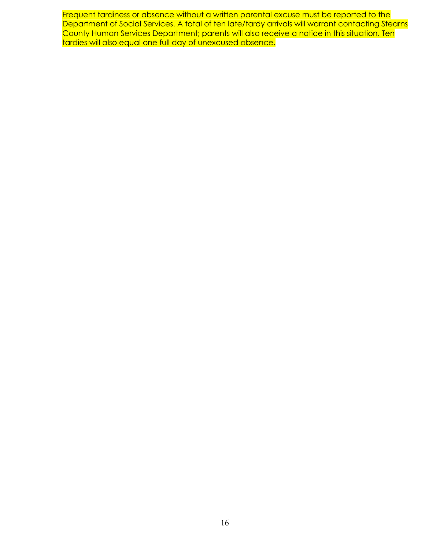Frequent tardiness or absence without a written parental excuse must be reported to the Department of Social Services. A total of ten late/tardy arrivals will warrant contacting Stearns County Human Services Department; parents will also receive a notice in this situation. Ten tardies will also equal one full day of unexcused absence.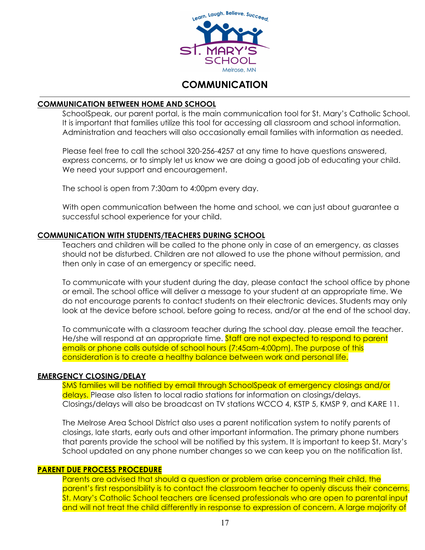

# **COMMUNICATION**

#### **COMMUNICATION BETWEEN HOME AND SCHOOL**

SchoolSpeak, our parent portal, is the main communication tool for St. Mary's Catholic School. It is important that families utilize this tool for accessing all classroom and school information. Administration and teachers will also occasionally email families with information as needed.

Please feel free to call the school 320-256-4257 at any time to have questions answered, express concerns, or to simply let us know we are doing a good job of educating your child. We need your support and encouragement.

The school is open from 7:30am to 4:00pm every day.

With open communication between the home and school, we can just about guarantee a successful school experience for your child.

#### **COMMUNICATION WITH STUDENTS/TEACHERS DURING SCHOOL**

Teachers and children will be called to the phone only in case of an emergency, as classes should not be disturbed. Children are not allowed to use the phone without permission, and then only in case of an emergency or specific need.

To communicate with your student during the day, please contact the school office by phone or email. The school office will deliver a message to your student at an appropriate time. We do not encourage parents to contact students on their electronic devices. Students may only look at the device before school, before going to recess, and/or at the end of the school day.

To communicate with a classroom teacher during the school day, please email the teacher. He/she will respond at an appropriate time. Staff are not expected to respond to parent emails or phone calls outside of school hours (7:45am-4:00pm). The purpose of this consideration is to create a healthy balance between work and personal life.

#### **EMERGENCY CLOSING/DELAY**

SMS families will be notified by email through SchoolSpeak of emergency closings and/or delays. Please also listen to local radio stations for information on closings/delays. Closings/delays will also be broadcast on TV stations WCCO 4, KSTP 5, KMSP 9, and KARE 11.

The Melrose Area School District also uses a parent notification system to notify parents of closings, late starts, early outs and other important information. The primary phone numbers that parents provide the school will be notified by this system. It is important to keep St. Mary's School updated on any phone number changes so we can keep you on the notification list.

#### **PARENT DUE PROCESS PROCEDURE**

Parents are advised that should a question or problem arise concerning their child, the parent's first responsibility is to contact the classroom teacher to openly discuss their concerns. St. Mary's Catholic School teachers are licensed professionals who are open to parental input and will not treat the child differently in response to expression of concern. A large majority of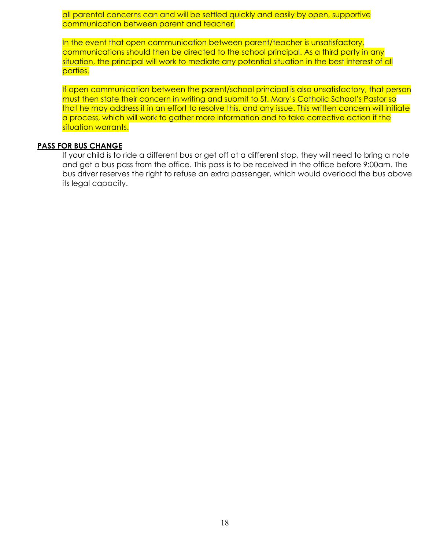all parental concerns can and will be settled quickly and easily by open, supportive communication between parent and teacher.

In the event that open communication between parent/teacher is unsatisfactory, communications should then be directed to the school principal. As a third party in any situation, the principal will work to mediate any potential situation in the best interest of all parties.

If open communication between the parent/school principal is also unsatisfactory, that person must then state their concern in writing and submit to St. Mary's Catholic School's Pastor so that he may address it in an effort to resolve this, and any issue. This written concern will initiate a process, which will work to gather more information and to take corrective action if the situation warrants.

#### **PASS FOR BUS CHANGE**

If your child is to ride a different bus or get off at a different stop, they will need to bring a note and get a bus pass from the office. This pass is to be received in the office before 9:00am. The bus driver reserves the right to refuse an extra passenger, which would overload the bus above its legal capacity.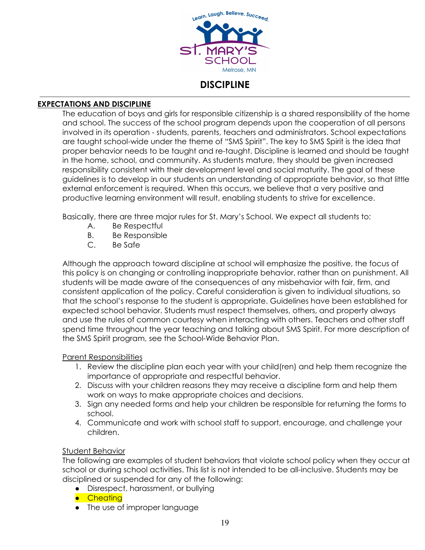

### **DISCIPLINE**

#### **EXPECTATIONS AND DISCIPLINE**

The education of boys and girls for responsible citizenship is a shared responsibility of the home and school. The success of the school program depends upon the cooperation of all persons involved in its operation - students, parents, teachers and administrators. School expectations are taught school-wide under the theme of "SMS Spirit". The key to SMS Spirit is the idea that proper behavior needs to be taught and re-taught. Discipline is learned and should be taught in the home, school, and community. As students mature, they should be given increased responsibility consistent with their development level and social maturity. The goal of these guidelines is to develop in our students an understanding of appropriate behavior, so that little external enforcement is required. When this occurs, we believe that a very positive and productive learning environment will result, enabling students to strive for excellence.

Basically, there are three major rules for St. Mary's School. We expect all students to:

- A. Be Respectful
- B. Be Responsible
- C. Be Safe

Although the approach toward discipline at school will emphasize the positive, the focus of this policy is on changing or controlling inappropriate behavior, rather than on punishment. All students will be made aware of the consequences of any misbehavior with fair, firm, and consistent application of the policy. Careful consideration is given to individual situations, so that the school's response to the student is appropriate. Guidelines have been established for expected school behavior. Students must respect themselves, others, and property always and use the rules of common courtesy when interacting with others. Teachers and other staff spend time throughout the year teaching and talking about SMS Spirit. For more description of the SMS Spirit program, see the School-Wide Behavior Plan.

#### Parent Responsibilities

- 1. Review the discipline plan each year with your child(ren) and help them recognize the importance of appropriate and respectful behavior.
- 2. Discuss with your children reasons they may receive a discipline form and help them work on ways to make appropriate choices and decisions.
- 3. Sign any needed forms and help your children be responsible for returning the forms to school.
- 4. Communicate and work with school staff to support, encourage, and challenge your children.

#### **Student Behavior**

The following are examples of student behaviors that violate school policy when they occur at school or during school activities. This list is not intended to be all-inclusive. Students may be disciplined or suspended for any of the following:

- Disrespect, harassment, or bullying
- Cheating
- The use of improper language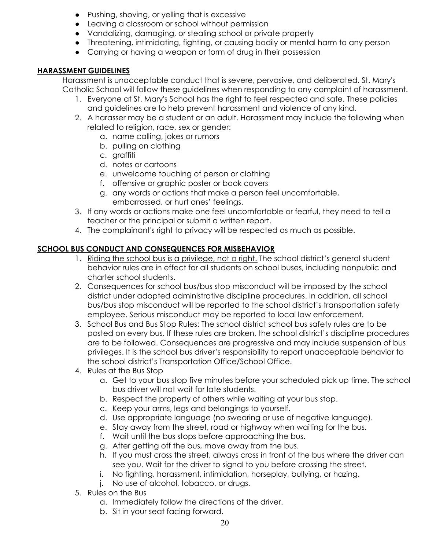- Pushing, shoving, or yelling that is excessive
- Leaving a classroom or school without permission
- Vandalizing, damaging, or stealing school or private property
- Threatening, intimidating, fighting, or causing bodily or mental harm to any person
- Carrying or having a weapon or form of drug in their possession

#### **HARASSMENT GUIDELINES**

Harassment is unacceptable conduct that is severe, pervasive, and deliberated. St. Mary's Catholic School will follow these guidelines when responding to any complaint of harassment.

- 1. Everyone at St. Mary's School has the right to feel respected and safe. These policies and guidelines are to help prevent harassment and violence of any kind.
- 2. A harasser may be a student or an adult. Harassment may include the following when related to religion, race, sex or gender:
	- a. name calling, jokes or rumors
	- b. pulling on clothing
	- c. graffiti
	- d. notes or cartoons
	- e. unwelcome touching of person or clothing
	- f. offensive or graphic poster or book covers
	- g. any words or actions that make a person feel uncomfortable, embarrassed, or hurt ones' feelings.
- 3. If any words or actions make one feel uncomfortable or fearful, they need to tell a teacher or the principal or submit a written report.
- 4. The complainant's right to privacy will be respected as much as possible.

#### **SCHOOL BUS CONDUCT AND CONSEQUENCES FOR MISBEHAVIOR**

- 1. Riding the school bus is a privilege, not a right. The school district's general student behavior rules are in effect for all students on school buses, including nonpublic and charter school students.
- 2. Consequences for school bus/bus stop misconduct will be imposed by the school district under adopted administrative discipline procedures. In addition, all school bus/bus stop misconduct will be reported to the school district's transportation safety employee. Serious misconduct may be reported to local law enforcement.
- 3. School Bus and Bus Stop Rules: The school district school bus safety rules are to be posted on every bus. If these rules are broken, the school district's discipline procedures are to be followed. Consequences are progressive and may include suspension of bus privileges. It is the school bus driver's responsibility to report unacceptable behavior to the school district's Transportation Office/School Office.
- 4. Rules at the Bus Stop
	- a. Get to your bus stop five minutes before your scheduled pick up time. The school bus driver will not wait for late students.
	- b. Respect the property of others while waiting at your bus stop.
	- c. Keep your arms, legs and belongings to yourself.
	- d. Use appropriate language (no swearing or use of negative language).
	- e. Stay away from the street, road or highway when waiting for the bus.
	- f. Wait until the bus stops before approaching the bus.
	- g. After getting off the bus, move away from the bus.
	- h. If you must cross the street, always cross in front of the bus where the driver can see you. Wait for the driver to signal to you before crossing the street.
	- i. No fighting, harassment, intimidation, horseplay, bullying, or hazing.
	- j. No use of alcohol, tobacco, or drugs.
- 5. Rules on the Bus
	- a. Immediately follow the directions of the driver.
	- b. Sit in your seat facing forward.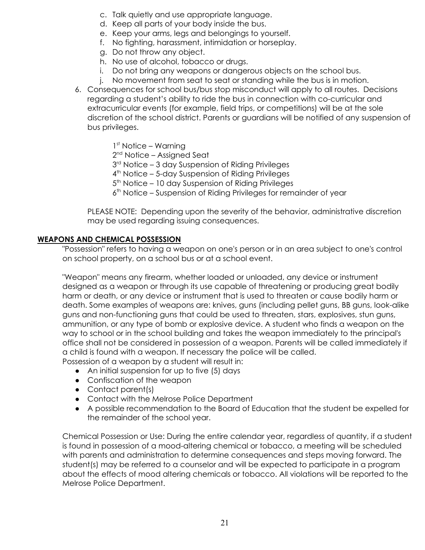- c. Talk quietly and use appropriate language.
- d. Keep all parts of your body inside the bus.
- e. Keep your arms, legs and belongings to yourself.
- f. No fighting, harassment, intimidation or horseplay.
- g. Do not throw any object.
- h. No use of alcohol, tobacco or drugs.
- i. Do not bring any weapons or dangerous objects on the school bus.
- j. No movement from seat to seat or standing while the bus is in motion.
- 6. Consequences for school bus/bus stop misconduct will apply to all routes. Decisions regarding a student's ability to ride the bus in connection with co-curricular and extracurricular events (for example, field trips, or competitions) will be at the sole discretion of the school district. Parents or guardians will be notified of any suspension of bus privileges.
	- 1 st Notice Warning
	- 2<sup>nd</sup> Notice Assigned Seat
	- 3<sup>rd</sup> Notice 3 day Suspension of Riding Privileges
	- 4 th Notice 5-day Suspension of Riding Privileges
	- 5<sup>th</sup> Notice 10 day Suspension of Riding Privileges
	- 6 th Notice Suspension of Riding Privileges for remainder of year

PLEASE NOTE: Depending upon the severity of the behavior, administrative discretion may be used regarding issuing consequences.

#### **WEAPONS AND CHEMICAL POSSESSION**

"Possession" refers to having a weapon on one's person or in an area subject to one's control on school property, on a school bus or at a school event.

"Weapon" means any firearm, whether loaded or unloaded, any device or instrument designed as a weapon or through its use capable of threatening or producing great bodily harm or death, or any device or instrument that is used to threaten or cause bodily harm or death. Some examples of weapons are: knives, guns (including pellet guns, BB guns, look-alike guns and non-functioning guns that could be used to threaten, stars, explosives, stun guns, ammunition, or any type of bomb or explosive device. A student who finds a weapon on the way to school or in the school building and takes the weapon immediately to the principal's office shall not be considered in possession of a weapon. Parents will be called immediately if a child is found with a weapon. If necessary the police will be called.

Possession of a weapon by a student will result in:

- An initial suspension for up to five (5) days
- Confiscation of the weapon
- Contact parent(s)
- Contact with the Melrose Police Department
- A possible recommendation to the Board of Education that the student be expelled for the remainder of the school year.

Chemical Possession or Use: During the entire calendar year, regardless of quantity, if a student is found in possession of a mood-altering chemical or tobacco, a meeting will be scheduled with parents and administration to determine consequences and steps moving forward. The student(s) may be referred to a counselor and will be expected to participate in a program about the effects of mood altering chemicals or tobacco. All violations will be reported to the Melrose Police Department.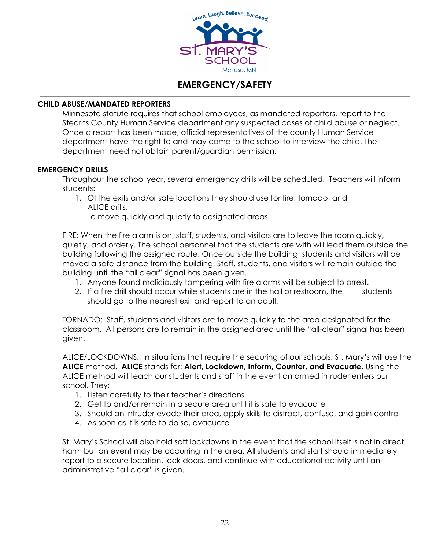

# **EMERGENCY/SAFETY**

#### **CHILD ABUSE/MANDATED REPORTERS**

Minnesota statute requires that school employees, as mandated reporters, report to the Stearns County Human Service department any suspected cases of child abuse or neglect. Once a report has been made, official representatives of the county Human Service department have the right to and may come to the school to interview the child. The department need not obtain parent/guardian permission.

#### **EMERGENCY DRILLS**

Throughout the school year, several emergency drills will be scheduled. Teachers will inform students:

1. Of the exits and/or safe locations they should use for fire, tornado, and ALICE drills.

To move quickly and quietly to designated areas.

FIRE: When the fire alarm is on, staff, students, and visitors are to leave the room quickly, quietly, and orderly. The school personnel that the students are with will lead them outside the building following the assigned route. Once outside the building, students and visitors will be moved a safe distance from the building. Staff, students, and visitors will remain outside the building until the "all clear" signal has been given.

- 1. Anyone found maliciously tampering with fire alarms will be subject to arrest.
- 2. If a fire drill should occur while students are in the hall or restroom, the students should go to the nearest exit and report to an adult.

TORNADO: Staff, students and visitors are to move quickly to the area designated for the classroom. All persons are to remain in the assigned area until the "all-clear" signal has been given.

ALICE/LOCKDOWNS: In situations that require the securing of our schools, St. Mary's will use the **ALICE** method. **ALICE** stands for: **Alert, Lockdown, Inform, Counter, and Evacuate.** Using the ALICE method will teach our students and staff in the event an armed intruder enters our school. They:

- 1. Listen carefully to their teacher's directions
- 2. Get to and/or remain in a secure area until it is safe to evacuate
- 3. Should an intruder evade their area, apply skills to distract, confuse, and gain control
- 4. As soon as it is safe to do so, evacuate

St. Mary's School will also hold soft lockdowns in the event that the school itself is not in direct harm but an event may be occurring in the area. All students and staff should immediately report to a secure location, lock doors, and continue with educational activity until an administrative "all clear" is given.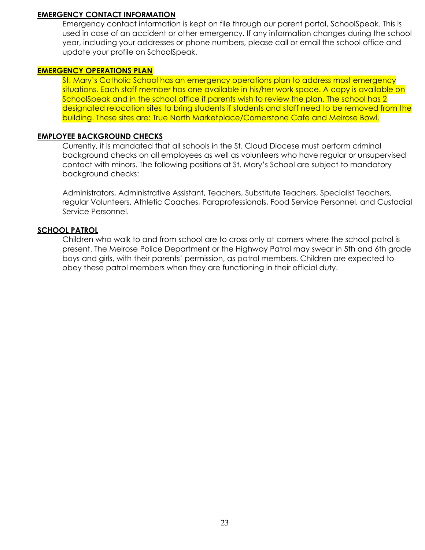#### **EMERGENCY CONTACT INFORMATION**

Emergency contact information is kept on file through our parent portal, SchoolSpeak. This is used in case of an accident or other emergency. If any information changes during the school year, including your addresses or phone numbers, please call or email the school office and update your profile on SchoolSpeak.

#### **EMERGENCY OPERATIONS PLAN**

St. Mary's Catholic School has an emergency operations plan to address most emergency situations. Each staff member has one available in his/her work space. A copy is available on SchoolSpeak and in the school office if parents wish to review the plan. The school has 2 designated relocation sites to bring students if students and staff need to be removed from the building. These sites are: True North Marketplace/Cornerstone Cafe and Melrose Bowl.

#### **EMPLOYEE BACKGROUND CHECKS**

Currently, it is mandated that all schools in the St. Cloud Diocese must perform criminal background checks on all employees as well as volunteers who have regular or unsupervised contact with minors. The following positions at St. Mary's School are subject to mandatory background checks:

Administrators, Administrative Assistant, Teachers, Substitute Teachers, Specialist Teachers, regular Volunteers, Athletic Coaches, Paraprofessionals, Food Service Personnel, and Custodial Service Personnel.

#### **SCHOOL PATROL**

Children who walk to and from school are to cross only at corners where the school patrol is present. The Melrose Police Department or the Highway Patrol may swear in 5th and 6th grade boys and girls, with their parents' permission, as patrol members. Children are expected to obey these patrol members when they are functioning in their official duty.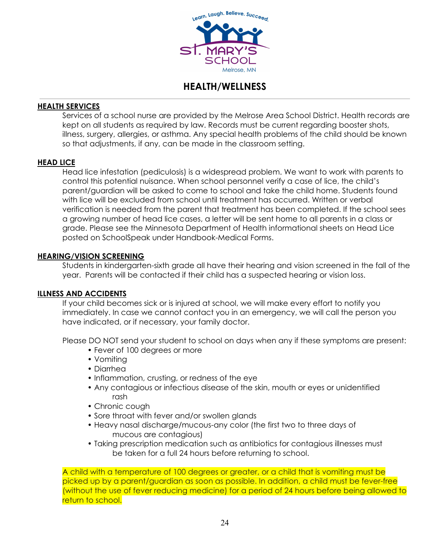

# **HEALTH/WELLNESS**

#### **HEALTH SERVICES**

Services of a school nurse are provided by the Melrose Area School District. Health records are kept on all students as required by law. Records must be current regarding booster shots, illness, surgery, allergies, or asthma. Any special health problems of the child should be known so that adjustments, if any, can be made in the classroom setting.

#### **HEAD LICE**

Head lice infestation (pediculosis) is a widespread problem. We want to work with parents to control this potential nuisance. When school personnel verify a case of lice, the child's parent/guardian will be asked to come to school and take the child home. Students found with lice will be excluded from school until treatment has occurred. Written or verbal verification is needed from the parent that treatment has been completed. If the school sees a growing number of head lice cases, a letter will be sent home to all parents in a class or grade. Please see the Minnesota Department of Health informational sheets on Head Lice posted on SchoolSpeak under Handbook-Medical Forms.

#### **HEARING/VISION SCREENING**

Students in kindergarten-sixth grade all have their hearing and vision screened in the fall of the year. Parents will be contacted if their child has a suspected hearing or vision loss.

#### **ILLNESS AND ACCIDENTS**

If your child becomes sick or is injured at school, we will make every effort to notify you immediately. In case we cannot contact you in an emergency, we will call the person you have indicated, or if necessary, your family doctor.

Please DO NOT send your student to school on days when any if these symptoms are present:

- Fever of 100 degrees or more
- Vomiting
- Diarrhea
- Inflammation, crusting, or redness of the eye
- Any contagious or infectious disease of the skin, mouth or eyes or unidentified rash
- Chronic cough
- Sore throat with fever and/or swollen glands
- Heavy nasal discharge/mucous-any color (the first two to three days of mucous are contagious)
- Taking prescription medication such as antibiotics for contagious illnesses must be taken for a full 24 hours before returning to school.

A child with a temperature of 100 degrees or greater, or a child that is vomiting must be picked up by a parent/guardian as soon as possible. In addition, a child must be fever-free (without the use of fever reducing medicine) for a period of 24 hours before being allowed to return to school.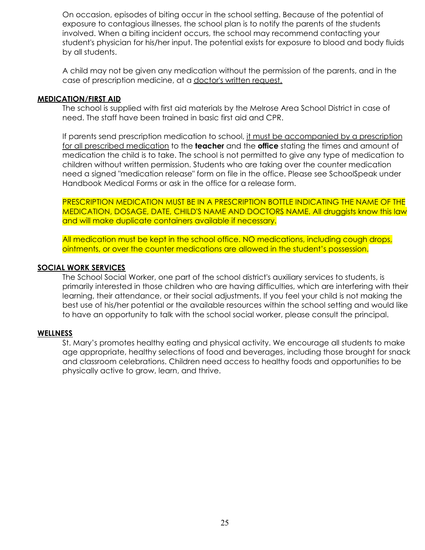On occasion, episodes of biting occur in the school setting. Because of the potential of exposure to contagious illnesses, the school plan is to notify the parents of the students involved. When a biting incident occurs, the school may recommend contacting your student's physician for his/her input. The potential exists for exposure to blood and body fluids by all students.

A child may not be given any medication without the permission of the parents, and in the case of prescription medicine, at a doctor's written request.

#### **MEDICATION/FIRST AID**

The school is supplied with first aid materials by the Melrose Area School District in case of need. The staff have been trained in basic first aid and CPR.

If parents send prescription medication to school, it must be accompanied by a prescription for all prescribed medication to the **teacher** and the **office** stating the times and amount of medication the child is to take. The school is not permitted to give any type of medication to children without written permission. Students who are taking over the counter medication need a signed "medication release" form on file in the office. Please see SchoolSpeak under Handbook Medical Forms or ask in the office for a release form.

PRESCRIPTION MEDICATION MUST BE IN A PRESCRIPTION BOTTLE INDICATING THE NAME OF THE MEDICATION, DOSAGE, DATE, CHILD'S NAME AND DOCTORS NAME. All druggists know this law and will make duplicate containers available if necessary.

All medication must be kept in the school office. NO medications, including cough drops, ointments, or over the counter medications are allowed in the student's possession.

#### **SOCIAL WORK SERVICES**

The School Social Worker, one part of the school district's auxiliary services to students, is primarily interested in those children who are having difficulties, which are interfering with their learning, their attendance, or their social adjustments. If you feel your child is not making the best use of his/her potential or the available resources within the school setting and would like to have an opportunity to talk with the school social worker, please consult the principal.

#### **WELLNESS**

St. Mary's promotes healthy eating and physical activity. We encourage all students to make age appropriate, healthy selections of food and beverages, including those brought for snack and classroom celebrations. Children need access to healthy foods and opportunities to be physically active to grow, learn, and thrive.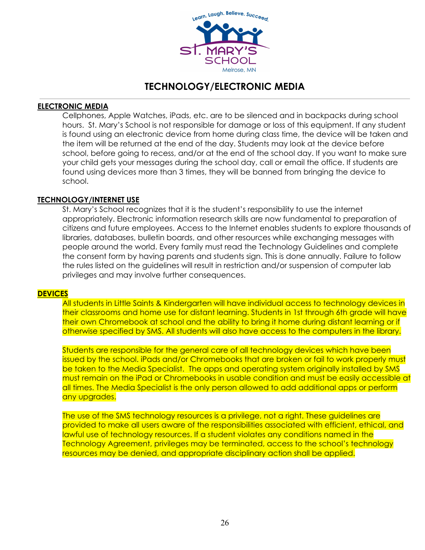

# **TECHNOLOGY/ELECTRONIC MEDIA**

#### **ELECTRONIC MEDIA**

Cellphones, Apple Watches, iPads, etc. are to be silenced and in backpacks during school hours. St. Mary's School is not responsible for damage or loss of this equipment. If any student is found using an electronic device from home during class time, the device will be taken and the item will be returned at the end of the day. Students may look at the device before school, before going to recess, and/or at the end of the school day. If you want to make sure your child gets your messages during the school day, call or email the office. If students are found using devices more than 3 times, they will be banned from bringing the device to school.

#### **TECHNOLOGY/INTERNET USE**

St. Mary's School recognizes that it is the student's responsibility to use the internet appropriately. Electronic information research skills are now fundamental to preparation of citizens and future employees. Access to the Internet enables students to explore thousands of libraries, databases, bulletin boards, and other resources while exchanging messages with people around the world. Every family must read the Technology Guidelines and complete the consent form by having parents and students sign. This is done annually. Failure to follow the rules listed on the guidelines will result in restriction and/or suspension of computer lab privileges and may involve further consequences.

#### **DEVICES**

All students in Little Saints & Kindergarten will have individual access to technology devices in their classrooms and home use for distant learning. Students in 1st through 6th grade will have their own Chromebook at school and the ability to bring it home during distant learning or if otherwise specified by SMS. All students will also have access to the computers in the library.

Students are responsible for the general care of all technology devices which have been issued by the school. iPads and/or Chromebooks that are broken or fail to work properly must be taken to the Media Specialist. The apps and operating system originally installed by SMS must remain on the iPad or Chromebooks in usable condition and must be easily accessible at all times. The Media Specialist is the only person allowed to add additional apps or perform any upgrades.

The use of the SMS technology resources is a privilege, not a right. These guidelines are provided to make all users aware of the responsibilities associated with efficient, ethical, and lawful use of technology resources. If a student violates any conditions named in the Technology Agreement, privileges may be terminated, access to the school's technology resources may be denied, and appropriate disciplinary action shall be applied.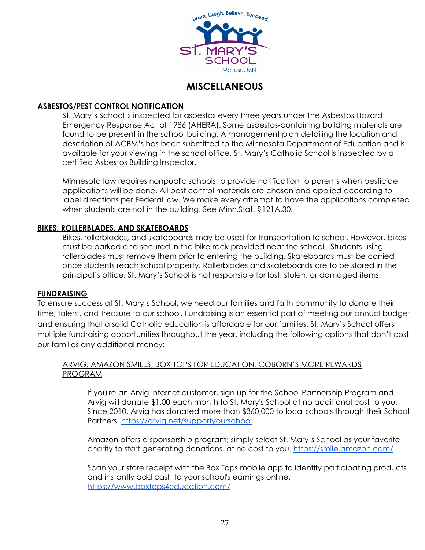

# **MISCELLANEOUS**

#### **ASBESTOS/PEST CONTROL NOTIFICATION**

St. Mary's School is inspected for asbestos every three years under the Asbestos Hazard Emergency Response Act of 1986 (AHERA). Some asbestos-containing building materials are found to be present in the school building. A management plan detailing the location and description of ACBM's has been submitted to the Minnesota Department of Education and is available for your viewing in the school office. St. Mary's Catholic School is inspected by a certified Asbestos Building Inspector.

Minnesota law requires nonpublic schools to provide notification to parents when pesticide applications will be done. All pest control materials are chosen and applied according to label directions per Federal law. We make every attempt to have the applications completed when students are not in the building. See Minn.Stat. §121A.30.

#### **BIKES, ROLLERBLADES, AND SKATEBOARDS**

Bikes, rollerblades, and skateboards may be used for transportation to school. However, bikes must be parked and secured in the bike rack provided near the school. Students using rollerblades must remove them prior to entering the building. Skateboards must be carried once students reach school property. Rollerblades and skateboards are to be stored in the principal's office. St. Mary's School is not responsible for lost, stolen, or damaged items.

#### **FUNDRAISING**

To ensure success at St. Mary's School, we need our families and faith community to donate their time, talent, and treasure to our school. Fundraising is an essential part of meeting our annual budget and ensuring that a solid Catholic education is affordable for our families. St. Mary's School offers multiple fundraising opportunities throughout the year, including the following options that don't cost our families any additional money:

#### ARVIG, AMAZON SMILES, BOX TOPS FOR EDUCATION, COBORN'S MORE REWARDS PROGRAM

If you're an Arvig Internet customer, sign up for the School Partnership Program and Arvig will donate \$1.00 each month to St. Mary's School at no additional cost to you. Since 2010, Arvig has donated more than \$360,000 to local schools through their School Partners. <https://arvig.net/supportyourschool>

Amazon offers a sponsorship program; simply select St. Mary's School as your favorite charity to start generating donations, at no cost to you. <https://smile.amazon.com/>

Scan your store receipt with the Box Tops mobile app to identify participating products and instantly add cash to your school's earnings online. <https://www.boxtops4education.com/>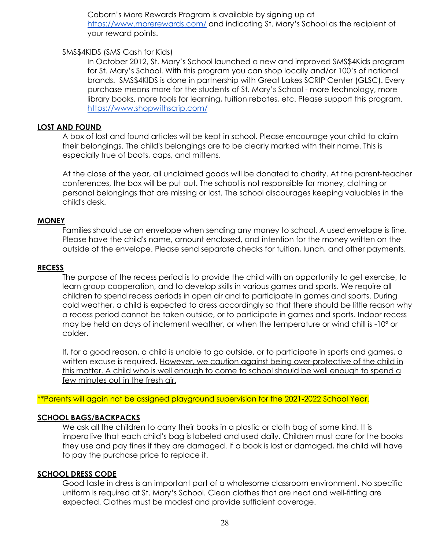Coborn's More Rewards Program is available by signing up at <https://www.morerewards.com/> and indicating St. Mary's School as the recipient of your reward points.

#### SMS\$4KIDS (SMS Cash for Kids)

In October 2012, St. Mary's School launched a new and improved SMS\$4Kids program for St. Mary's School. With this program you can shop locally and/or 100's of national brands. SMS\$4KIDS is done in partnership with Great Lakes SCRIP Center (GLSC). Every purchase means more for the students of St. Mary's School - more technology, more library books, more tools for learning, tuition rebates, etc. Please support this program. <https://www.shopwithscrip.com/>

#### **LOST AND FOUND**

A box of lost and found articles will be kept in school. Please encourage your child to claim their belongings. The child's belongings are to be clearly marked with their name. This is especially true of boots, caps, and mittens.

At the close of the year, all unclaimed goods will be donated to charity. At the parent-teacher conferences, the box will be put out. The school is not responsible for money, clothing or personal belongings that are missing or lost. The school discourages keeping valuables in the child's desk.

#### **MONEY**

Families should use an envelope when sending any money to school. A used envelope is fine. Please have the child's name, amount enclosed, and intention for the money written on the outside of the envelope. Please send separate checks for tuition, lunch, and other payments.

#### **RECESS**

The purpose of the recess period is to provide the child with an opportunity to get exercise, to learn group cooperation, and to develop skills in various games and sports. We require all children to spend recess periods in open air and to participate in games and sports. During cold weather, a child is expected to dress accordingly so that there should be little reason why a recess period cannot be taken outside, or to participate in games and sports. Indoor recess may be held on days of inclement weather, or when the temperature or wind chill is -10º or colder.

If, for a good reason, a child is unable to go outside, or to participate in sports and games, a written excuse is required. However, we caution against being over-protective of the child in this matter. A child who is well enough to come to school should be well enough to spend a few minutes out in the fresh air.

\*\*Parents will again not be assigned playground supervision for the 2021-2022 School Year.

#### **SCHOOL BAGS/BACKPACKS**

We ask all the children to carry their books in a plastic or cloth bag of some kind. It is imperative that each child's bag is labeled and used daily. Children must care for the books they use and pay fines if they are damaged. If a book is lost or damaged, the child will have to pay the purchase price to replace it.

#### **SCHOOL DRESS CODE**

Good taste in dress is an important part of a wholesome classroom environment. No specific uniform is required at St. Mary's School. Clean clothes that are neat and well-fitting are expected. Clothes must be modest and provide sufficient coverage.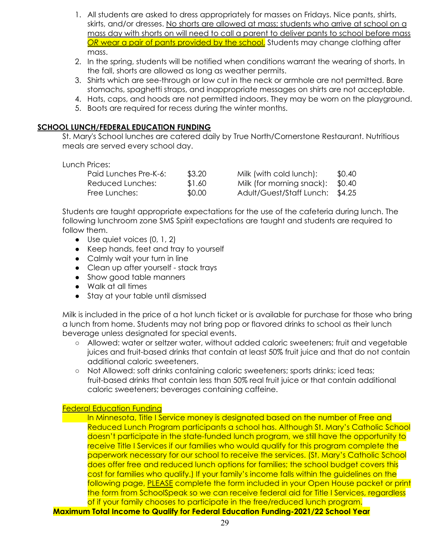- 1. All students are asked to dress appropriately for masses on Fridays. Nice pants, shirts, skirts, and/or dresses. No shorts are allowed at mass; students who arrive at school on a mass day with shorts on will need to call a parent to deliver pants to school before mass *OR* wear a pair of pants provided by the school. Students may change clothing after mass.
- 2. In the spring, students will be notified when conditions warrant the wearing of shorts. In the fall, shorts are allowed as long as weather permits.
- 3. Shirts which are see-through or low cut in the neck or armhole are not permitted. Bare stomachs, spaghetti straps, and inappropriate messages on shirts are not acceptable.
- 4. Hats, caps, and hoods are not permitted indoors. They may be worn on the playground.
- 5. Boots are required for recess during the winter months.

#### **SCHOOL LUNCH/FEDERAL EDUCATION FUNDING**

St. Mary's School lunches are catered daily by True North/Cornerstone Restaurant. Nutritious meals are served every school day.

#### Lunch Prices:

| Paid Lunches Pre-K-6: | \$3.20 | Milk (with cold lunch):           | \$0.40 |
|-----------------------|--------|-----------------------------------|--------|
| Reduced Lunches:      | \$1.60 | Milk (for morning snack): $$0.40$ |        |
| Free Lunches:         | \$0.00 | Adult/Guest/Staff Lunch: \$4.25   |        |

Students are taught appropriate expectations for the use of the cafeteria during lunch. The following lunchroom zone SMS Spirit expectations are taught and students are required to follow them.

- Use quiet voices (0, 1, 2)
- Keep hands, feet and tray to yourself
- Calmly wait your turn in line
- Clean up after yourself stack trays
- Show good table manners
- Walk at all times
- Stay at your table until dismissed

Milk is included in the price of a hot lunch ticket or is available for purchase for those who bring a lunch from home. Students may not bring pop or flavored drinks to school as their lunch beverage unless designated for special events.

- Allowed: water or seltzer water, without added caloric sweeteners; fruit and vegetable juices and fruit-based drinks that contain at least 50% fruit juice and that do not contain additional caloric sweeteners.
- Not Allowed: soft drinks containing caloric sweeteners; sports drinks; iced teas; fruit-based drinks that contain less than 50% real fruit juice or that contain additional caloric sweeteners; beverages containing caffeine.

#### Federal Education Funding

In Minnesota, Title I Service money is designated based on the number of Free and Reduced Lunch Program participants a school has. Although St. Mary's Catholic School doesn't participate in the state-funded lunch program, we still have the opportunity to receive Title I Services if our families who would qualify for this program complete the paperwork necessary for our school to receive the services. (St. Mary's Catholic School does offer free and reduced lunch options for families; the school budget covers this cost for families who qualify.) If your family's income falls within the guidelines on the following page, PLEASE complete the form included in your Open House packet or print the form from SchoolSpeak so we can receive federal aid for Title I Services, regardless of if your family chooses to participate in the free/reduced lunch program.

**Maximum Total Income to Qualify for Federal Education Funding-2021/22 School Year**